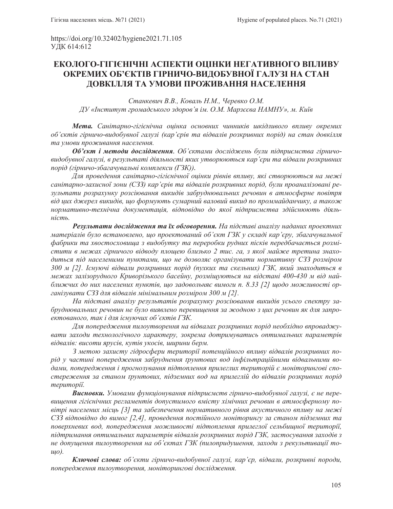https://doi.org/10.32402/hygiene2021.71.105 УДК 614:612

# ЕКОЛОГО-ГІГІЄНІЧНІ АСПЕКТИ ОЦІНКИ НЕГАТИВНОГО ВПЛИВУ **ОКРЕМИХ ОБ'ЄКТІВ ГІРНИЧО-ВИДОБУВНОЇ ГАЛУЗІ НА СТАН** ДОВКІЛЛЯ ТА УМОВИ ПРОЖИВАННЯ НАСЕЛЕННЯ

Станкевич В.В., Коваль Н.М., Черевко О.М. *Ⱦɍ©ȱɧɫɬɢɬɭɬɝɪɨɦɚɞɫɶɤɨɝɨɡɞɨɪɨɜ¶ɹɿɦɈɆɆɚɪɡɽɽɜɚɇȺɆɇɍªɦɄɢʀɜ*

**Мета.** Санітарно-гігієнічна оцінка основних чинників шкідливого впливу окремих  $ó$ <sup>*сктів гірничо-видобувної галузі (кар'єрів та відвалів розкривних порід) на стан довкілля*</sup> та умови проживання населення.

**Об'єкт і методи дослідження**. Об'єктами досліджень були підприємства гірничовидобувної галузі, в результаті діяльності яких утворюються кар'єри та відвали розкривних *nopid (гірничо-збагачувальні комплекси (ГЗК)).* 

Для проведення санітарно-гігієнічної оцінки рівнів впливу, які створюються на межі санітарно-захисної зони (СЗЗ) кар'єрів та відвалів розкривних порід, були проаналізовані результати розрахунку розсіювання викидів забруднювальних речовин в атмосферне повітря від цих джерел викидів, що формують сумарний валовий викид по проммайданчику, а також нормативно-технічна документація, відповідно до якої підприємства здійснюють діяль- $\mu$ *icm*ь.

Результати дослідження та їх обговорення. На підставі аналізу наданих проектних матеріалів було встановлено, що проектований об'єкт ГЗК у складі кар'єру, збагачувальної фабрики та хвостосховища з видобутку та переробки рудних пісків передбачається розмістити в межах гірничого відводу площею близько 2 тис. га, з якої майже третина знаходиться під населеними пунктами, що не дозволяє організувати нормативну СЗЗ розміром 300 м [2]. Існуючі відвали розкривних порід (пухких та скельних) ГЗК, який знаходиться в межах залізорудного Криворізького басейну, розміщуються на відстані 400-430 м від найближчих до них населених пунктів, що задовольняє вимоги п. 8.33 [2] щодо можливості організувати СЗЗ для відвалів мінімальним розміром 300 м [2].

На підставі аналізу результатів розрахунку розсіювання викидів усього спектру забруднювальних речовин не було виявлено перевищення за жодною з цих речовин як для запроектованого, так і для існуючих об'єктів ГЗК.

Для попередження пилоутворення на відвалах розкривних порід необхідно впроваджувати заходи технологічного характеру, зокрема дотримуватись оптимальних параметрів *відвалів: висоти ярусів, кутів укосів, ширини берм.* 

3 метою захисту гідросфери території потенційного впливу відвалів розкривних поpiд у частині попередження забруднення ґрунтових вод інфільтраційними відвальними водами, попередження *і прогнозування підтоплення прилеглих територій є моніторингові спо*стереження за станом *ґрунтових, підземних вод на прилеглій до відвалів розкривних порід* mepumopiï.

**Висновки.** Умовами функціонування підприємств гірничо-видобувної галузі, є не перевищення гігієнічних регламентів допустимого вмісту хімічних речовин в атмосферному повітрі населених місць [3] та забезпечення нормативного рівня акустичного впливу на межі C33 відповідно до вимог [2,4], проведення постійного моніторингу за станом підземних та поверхневих вод, попередження можливості підтоплення прилеглої сельбищної території, *підтримання оптимальних параметрів відвалів розкривних порід ГЗК, застосування заходів з* не допущення пилоутворення на об'єктах ГЗК (пилопридушення, заходи з рекультивації то $u\varphi$ ).

**Ключові слова:** об'єкти гірничо-видобувної галузі, кар'єр, відвали, розкривні породи, попередження пилоутворення, моніторингові дослідження.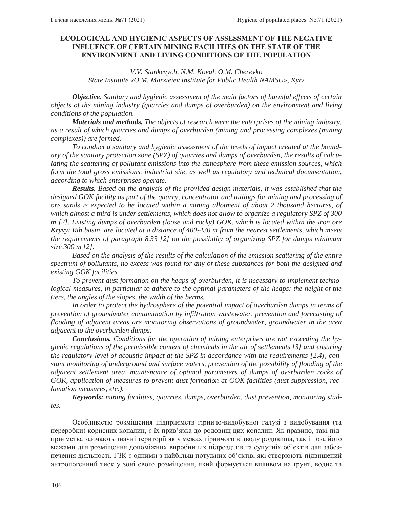## **ECOLOGICAL AND HYGIENIC ASPECTS OF ASSESSMENT OF THE NEGATIVE INFLUENCE OF CERTAIN MINING FACILITIES ON THE STATE OF THE ENVIRONMENT AND LIVING CONDITIONS OF THE POPULATION**

## *V.V. Stankevych, N.M. Koval, O.M. Cherevko State Institute «O.M. Marzieiev Institute for Public Health NAMSU», Kyiv*

*Objective. Sanitary and hygienic assessment of the main factors of harmful effects of certain objects of the mining industry (quarries and dumps of overburden) on the environment and living conditions of the population.*

*Materials and methods. The objects of research were the enterprises of the mining industry, as a result of which quarries and dumps of overburden (mining and processing complexes (mining complexes)) are formed.*

*To conduct a sanitary and hygienic assessment of the levels of impact created at the boundary of the sanitary protection zone (SPZ) of quarries and dumps of overburden, the results of calculating the scattering of pollutant emissions into the atmosphere from these emission sources, which form the total gross emissions. industrial site, as well as regulatory and technical documentation, according to which enterprises operate.* 

*Results. Based on the analysis of the provided design materials, it was established that the designed GOK facility as part of the quarry, concentrator and tailings for mining and processing of ore sands is expected to be located within a mining allotment of about 2 thousand hectares, of which almost a third is under settlements, which does not allow to organize a regulatory SPZ of 300 m [2]. Existing dumps of overburden (loose and rocky) GOK, which is located within the iron ore Kryvyi Rih basin, are located at a distance of 400-430 m from the nearest settlements, which meets the requirements of paragraph 8.33 [2] on the possibility of organizing SPZ for dumps minimum size 300 m [2].* 

*Based on the analysis of the results of the calculation of the emission scattering of the entire spectrum of pollutants, no excess was found for any of these substances for both the designed and existing GOK facilities.*

*To prevent dust formation on the heaps of overburden, it is necessary to implement technological measures, in particular to adhere to the optimal parameters of the heaps: the height of the tiers, the angles of the slopes, the width of the berms.* 

In order to protect the hydrosphere of the potential impact of overburden dumps in terms of *prevention of groundwater contamination by infiltration wastewater, prevention and forecasting of flooding of adjacent areas are monitoring observations of groundwater, groundwater in the area adjacent to the overburden dumps.* 

*Conclusions. Conditions for the operation of mining enterprises are not exceeding the hygienic regulations of the permissible content of chemicals in the air of settlements [3] and ensuring the regulatory level of acoustic impact at the SPZ in accordance with the requirements [2,4], constant monitoring of underground and surface waters, prevention of the possibility of flooding of the adjacent settlement area, maintenance of optimal parameters of dumps of overburden rocks of GOK, application of measures to prevent dust formation at GOK facilities (dust suppression, reclamation measures, etc.).*

*Keywords: mining facilities, quarries, dumps, overburden, dust prevention, monitoring studies.*

Особливістю розміщення підприємств гірничо-видобувної галузі з видобування (та переробки) корисних копалин, є їх прив'язка до родовищ цих копалин. Як правило, такі підприємства займають значні території як у межах гірничого відводу родовища, так і поза його межами для розміщення допоміжних виробничих підрозділів та супутніх об'єктів для забезпечення діяльності. ГЗК є одними з найбільш потужних об'єктів, які створюють підвищений антропогенний тиск у зоні свого розміщення, який формується впливом на ґрунт, водне та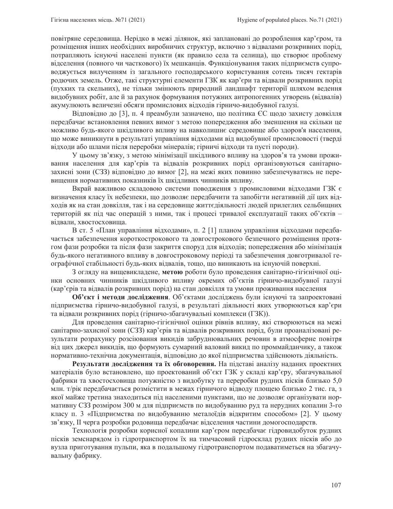повітряне середовища. Нерідко в межі ділянок, які заплановані до розроблення кар'єром, та розміщення інших необхідних виробничих структур, включно з відвалами розкривних порід, потрапляють існуючі населені пункти (як правило села та селища), що створює проблему відселення (повного чи часткового) їх мешканців. Функціонування таких підприємств супроводжується вилученням із загального господарського користування сотень тисяч гектарів родючих земель. Отже, такі структурні елементи ГЗК як кар'єри та відвали розкривних порід (пухких та скельних), не тільки змінюють природний ландшафт території шляхом ведення видобувних робіт, але й за рахунок формування потужних антропогенних утворень (відвалів) акумулюють величезні обсяги промислових відходів гірничо-видобувної галузі.

Відповідно до [3], п. 4 преамбули зазначено, що політика ЄС щодо захисту довкілля передбачає встановлення певних вимог з метою попередження або зменшення на скільки це можливо будь-якого шкідливого впливу на навколишнє середовище або здоров'я населення, що може виникнути в результаті управління відходами від видобувної промисловості (тверді відходи або шлами після переробки мінералів; гірничі відходи та пусті породи).

У цьому зв'язку, з метою мінімізації шкідливого впливу на здоров'я та умови проживання населення для кар'єрів та відвалів розкривних порід організовуються санітарнозахисні зони (СЗЗ) відповідно до вимог [2], на межі яких повинно забезпечуватись не перевищення нормативних показників їх шкідливих чинників впливу.

Вкрай важливою складовою системи поводження з промисловими відходами ГЗК є визначення класу їх небезпеки, що дозволяє передбачити та запобігти негативній дії цих відходів як на стан довкілля, так і на середовище життєдіяльності людей прилеглих сельбищних територій як під час операцій з ними, так і процесі тривалої експлуатації таких об'єктів – відвали, хвостосховища.

В ст. 5 «План управління відходами», п. 2 [1] планом управління відходами передбачається забезпечення короткострокового та довгострокового безпечного розміщення протягом фази розробки та після фази закриття споруд для відходів; попередження або мінімізація будь-якого негативного впливу в довгостроковому періоді та забезпечення довготривалої географічної стабільності будь-яких відвалів, тощо, що виникають на існуючій поверхні.

З огляду на вищевикладене, метою роботи було проведення санітарно-гігієнічної оцінки основних чинників шкідливого впливу окремих об'єктів гірничо-видобувної галузі (кар'єрів та відвалів розкривних порід) на стан довкілля та умови проживання населення

Об'єкт і методи дослідження. Об'єктами досліджень були існуючі та запроектовані підприємства гірничо-видобувної галузі, в результаті діяльності яких утворюються кар'єри та відвали розкривних порід (гірничо-збагачувальні комплекси (ГЗК)).

Для проведення санітарно-гігієнічної оцінки рівнів впливу, які створюються на межі санітарно-захисної зони (C33) кар'єрів та відвалів розкривних порід, були проаналізовані результати розрахунку розсіювання викидів забруднювальних речовин в атмосферне повітря від цих джерел викидів, що формують сумарний валовий викид по проммайданчику, а також нормативно-технічна документація, відповідно до якої підприємства здійснюють діяльність.

Результати дослідження та їх обговорення. На підставі аналізу наданих проектних матеріалів було встановлено, що проектований об'єкт ГЗК у складі кар'єру, збагачувальної фабрики та хвостосховища потужністю з видобутку та переробки рудних пісків близько 5,0 млн. т/рік передбачається розмістити в межах гірничого відводу площею близько 2 тис. га, з якої майже третина знаходиться під населеними пунктами, що не дозволяє організувати нормативну СЗЗ розміром 300 м для підприємств по видобуванню руд та нерудних копалин 3-го класу п. 3 «Підприємства по видобуванню металоїдів відкритим способом» [2]. У цьому зв'язку, II черга розробки родовища передбачає відселення частини домогосподарств.

Технологія розробки корисної копалини кар'єром передбачає гідровидобуток рудних пісків земснарядом із гідротранспортом їх на тимчасовий гідросклад рудних пісків або до вузла приготування пульпи, яка в подальшому гідротранспортом подаватиметься на збагачувальну фабрику.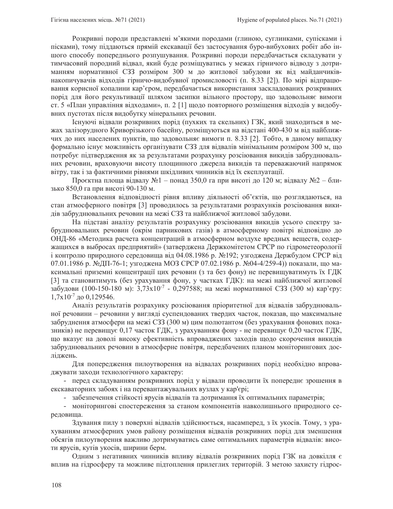Розкривні породи представлені м'якими породами (глиною, суглинками, супісками і пісками), тому піддаються прямій екскавації без застосування буро-вибухових робіт або іншого способу попереднього розпушування. Розкривні породи передбачається складувати у тимчасовий породний відвал, який буде розміщуватись у межах гірничого відводу з дотриманням нормативної СЗЗ розміром 300 м до житлової забудови як від майданчиківнакопичувачів відходів гірничо-видобувної промисловості (п. 8.33 [2]). По мірі відпрацювання корисної копалини кар'єром, передбачається використання заскладованих розкривних порід для його рекультивації шляхом засипки вільного простору, що задовольняє вимоги ст. 5 «План управління відходами», п. 2 [1] щодо повторного розміщення відходів у видобувних пустотах після видобутку мінеральних речовин.

Генуючі відвали розкривних порід (пухких та скельних) ГЗК, який знаходиться в межах залізорудного Криворізького басейну, розміщуються на відстані 400-430 м від найближчих до них населених пунктів, що задовольняє вимоги п. 8.33 [2]. Тобто, в даному випадку формально існує можливість організувати СЗЗ для відвалів мінімальним розміром 300 м, що потребує підтвердження як за результатами розрахунку розсіювання викидів забруднювальних речовин, враховуючи висоту площинного джерела викидів та переважаючий напрямок вітру, так і за фактичними рівнями шкідливих чинників від їх експлуатації.

Проєктна площа відвалу №1 – понад 350,0 га при висоті до 120 м; відвалу №2 – близько 850,0 га при висоті 90-130 м.

Встановлення відповідності рівня впливу діяльності об'єктів, що розглядаються, на стан атмосферного повітря [3] проводилось за результатами розрахунків розсіювання викидів забруднювальних речовин на межі СЗЗ та найближчої житлової забудови.

На підставі аналізу результатів розрахунку розсіювання викидів усього спектру забруднювальних речовин (окрім парникових газів) в атмосферному повітрі відповідно до ОНД-86 «Методика расчета концентраций в атмосферном воздухе вредных веществ, содержащихся в выбросах предприятий» (затверджена Держкомітетом СРСР по гідрометеорології і контролю природного середовища від 04.08.1986 р. №192; узгоджена Держбудом СРСР від 07.01.1986 р. №ДП-76-1; узгоджена МОЗ СРСР 07.02.1986 р. №04-4/259-4)) показали, що максимальні приземні концентрації цих речовин (з та без фону) не перевищуватимуть їх ГДК [3] та становитимуть (без урахування фону, у частках ГДК): на межі найближчої житлової забудови (100-150-180 м): 3,73x10<sup>-7</sup> - 0,297588; на межі нормативної СЗЗ (300 м) кар'єру:  $1,7x10^{-7}$  go 0,129546.

Аналіз результатів розрахунку розсіювання пріоритетної для відвалів забруднювальної речовини - речовини у вигляді суспендованих твердих часток, показав, що максимальне забруднення атмосфери на межі СЗЗ (300 м) цим полютантом (без урахування фонових показників) не перевищує 0,17 часток ГДК, з урахуванням фону - не перевищує 0,20 часток ГДК, що вказує на доволі високу ефективність впроваджених заходів щодо скорочення викидів забруднювальних речовин в атмосферне повітря, передбачених планом моніторингових досліджень.

Для попередження пилоутворення на відвалах розкривних порід необхідно впроваджувати заходи технологічного характеру:

- перед складуванням розкривних порід у відвали проводити їх попереднє зрошення в екскаваторних забоях і на перевантажувальних вузлах у кар'єрі;

- забезпечення стійкості ярусів відвалів та дотримання їх оптимальних параметрів;

- моніторингові спостереження за станом компонентів навколишнього природного середовища.

Здування пилу з поверхні відвалів здійснюється, насамперед, з їх укосів. Тому, з урахуванням атмосферних умов району розміщення відвалів розкривних порід для зменшення обсягів пилоутворення важливо дотримуватись саме оптимальних параметрів відвалів: висоти ярусів, кутів укосів, ширини берм.

Одним з негативних чинників впливу відвалів розкривних порід ГЗК на довкілля є вплив на гідросферу та можливе підтоплення прилеглих територій. З метою захисту гідрос-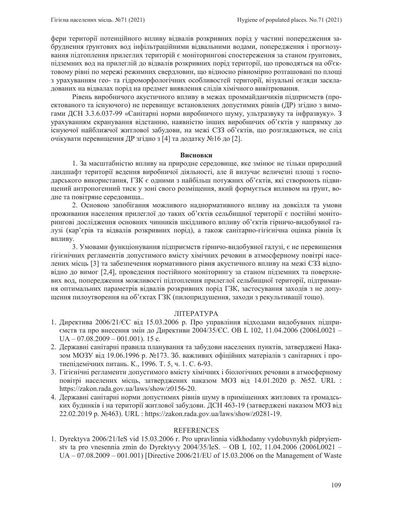фери території потенційного впливу відвалів розкривних порід у частині попередження забруднення грунтових вод інфільтраційними відвальними водами, попередження і прогнозування підтоплення прилеглих територій є моніторингові спостереження за станом ґрунтових, підземних вод на прилеглій до відвалів розкривних порід території, що проводяться на об'єктовому рівні по мережі режимних свердловин, що відносно рівномірно розташовані по площі з урахуванням гео- та гідроморфологічних особливостей території, візуальні огляди заскладованих на відвалах порід на предмет виявлення слідів хімічного вивітрювання.

Рівень виробничого акустичного впливу в межах проммайданчиків підприємств (проектованого та існуючого) не перевищує встановлених допустимих рівнів (ДР) згідно з вимогами ДСН 3.3.6.037-99 «Санітарні норми виробничого шуму, ультразвуку та інфразвуку». З урахуванням екранування відстанню, наявністю інших виробничих об'єктів у напрямку до існуючої найближчої житлової забудови, на межі СЗЗ об'єктів, що розглядаються, не слід очікувати перевищення ДР згідно з [4] та додатку №16 до [2].

#### **Висновки**

1. За масштабністю впливу на природне середовище, яке змінює не тільки природний ландшафт території ведення виробничої діяльності, але й вилучає величезні площі з господарського використання, ГЗК є одними з найбільш потужних об'єктів, які створюють підвищений антропогенний тиск у зоні свого розміщення, який формується впливом на ґрунт, водне та повітряне середовища..

2. Основою запобігання можливого наднормативного впливу на довкілля та умови проживання населення прилеглої до таких об'єктів сельбищної території є постійні моніторингові дослідження основних чинників шкідливого впливу об'єктів гірничо-видобувної галузі (кар'єрів та відвалів розкривних порід), а також санітарно-гігієнічна оцінка рівнів їх впливу.

3. Умовами функціонування підприємств гірничо-видобувної галузі, є не перевищення гігієнічних регламентів допустимого вмісту хімічних речовин в атмосферному повітрі населених місць [3] та забезпечення нормативного рівня акустичного впливу на межі СЗЗ відповідно до вимог [2,4], проведення постійного моніторингу за станом підземних та поверхневих вод, попередження можливості підтоплення прилеглої сельбищної території, підтримання оптимальних параметрів відвалів розкривних порід ГЗК, застосування заходів з не допущення пилоутворення на об'єктах ГЗК (пилопридушення, заходи з рекультивації тощо).

## ЛІТЕРАТУРА

- 1. Директива 2006/21/СС від 15.03.2006 р. Про управління відходами видобувних підприємств та про внесення змін до Директиви 2004/35/ЄС. ОВ L 102, 11.04.2006 (2006L0021 –  $UA - 07.08.2009 - 001.001$ ). 15 c.
- 2. Державні санітарні правила планування та забудови населених пунктів, затверджені Наказом МОЗУ від 19.06.1996 р. №173. Зб. важливих офіційних матеріалів з санітарних і протиепідемічних питань. К., 1996. Т. 5, ч. 1. С. 6-93.
- 3. Гігієнічні регламенти допустимого вмісту хімічних і біологічних речовин в атмосферному повітрі населених місць, затверджених наказом MO3 від 14.01.2020 р. №52. URL : https://zakon.rada.gov.ua/laws/show/z0156-20.
- 4. Державні санітарні норми допустимих рівнів шуму в приміщеннях житлових та громадських будинків і на території житлової забудови. ДСН 463-19 (затверджені наказом МОЗ від 22.02.2019 p. N\pse463). URL : https://zakon.rada.gov.ua/laws/show/z0281-19.

## REFERENCES

1. Dyrektyva 2006/21/IeS vid 15.03.2006 r. Pro upravlinnia vidkhodamy vydobuvnykh pidpryiemstv ta pro vnesennia zmin do Dyrektyvy 2004/35/IeS. – OB L 102, 11.04.2006 (2006L0021 – UA – 07.08.2009 – 001.001) [Directive 2006/21/EU of 15.03.2006 on the Management of Waste